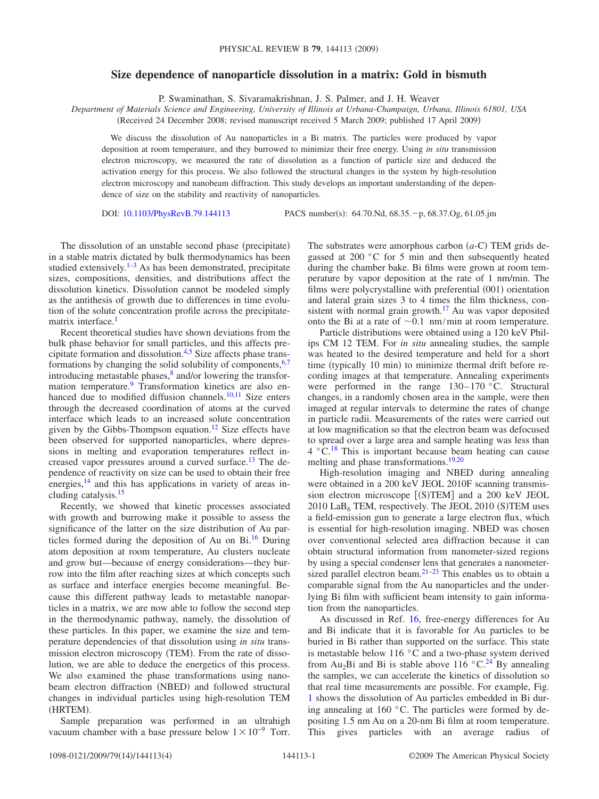## **Size dependence of nanoparticle dissolution in a matrix: Gold in bismuth**

P. Swaminathan, S. Sivaramakrishnan, J. S. Palmer, and J. H. Weaver

*Department of Materials Science and Engineering, University of Illinois at Urbana-Champaign, Urbana, Illinois 61801, USA* Received 24 December 2008; revised manuscript received 5 March 2009; published 17 April 2009-

We discuss the dissolution of Au nanoparticles in a Bi matrix. The particles were produced by vapor deposition at room temperature, and they burrowed to minimize their free energy. Using *in situ* transmission electron microscopy, we measured the rate of dissolution as a function of particle size and deduced the activation energy for this process. We also followed the structural changes in the system by high-resolution electron microscopy and nanobeam diffraction. This study develops an important understanding of the dependence of size on the stability and reactivity of nanoparticles.

DOI: [10.1103/PhysRevB.79.144113](http://dx.doi.org/10.1103/PhysRevB.79.144113)

PACS number(s): 64.70.Nd, 68.35. - p, 68.37.Og, 61.05.jm

The dissolution of an unstable second phase (precipitate) in a stable matrix dictated by bulk thermodynamics has been studied extensively. $1-3$  $1-3$  As has been demonstrated, precipitate sizes, compositions, densities, and distributions affect the dissolution kinetics. Dissolution cannot be modeled simply as the antithesis of growth due to differences in time evolution of the solute concentration profile across the precipitatematrix interface.<sup>1</sup>

Recent theoretical studies have shown deviations from the bulk phase behavior for small particles, and this affects precipitate formation and dissolution[.4](#page-3-2)[,5](#page-3-3) Size affects phase transformations by changing the solid solubility of components,  $6,7$  $6,7$ introducing metastable phases, $\frac{8}{3}$  and/or lowering the transformation temperature[.9](#page-3-7) Transformation kinetics are also enhanced due to modified diffusion channels. $10,11$  $10,11$  Size enters through the decreased coordination of atoms at the curved interface which leads to an increased solute concentration given by the Gibbs-Thompson equation.<sup>12</sup> Size effects have been observed for supported nanoparticles, where depressions in melting and evaporation temperatures reflect increased vapor pressures around a curved surface[.13](#page-3-11) The dependence of reactivity on size can be used to obtain their free energies,<sup>14</sup> and this has applications in variety of areas including catalysis[.15](#page-3-13)

Recently, we showed that kinetic processes associated with growth and burrowing make it possible to assess the significance of the latter on the size distribution of Au particles formed during the deposition of Au on Bi.<sup>16</sup> During atom deposition at room temperature, Au clusters nucleate and grow but—because of energy considerations—they burrow into the film after reaching sizes at which concepts such as surface and interface energies become meaningful. Because this different pathway leads to metastable nanoparticles in a matrix, we are now able to follow the second step in the thermodynamic pathway, namely, the dissolution of these particles. In this paper, we examine the size and temperature dependencies of that dissolution using *in situ* transmission electron microscopy (TEM). From the rate of dissolution, we are able to deduce the energetics of this process. We also examined the phase transformations using nanobeam electron diffraction (NBED) and followed structural changes in individual particles using high-resolution TEM (HRTEM).

Sample preparation was performed in an ultrahigh vacuum chamber with a base pressure below  $1 \times 10^{-9}$  Torr.

The substrates were amorphous carbon  $(a-C)$  TEM grids degassed at 200 °C for 5 min and then subsequently heated during the chamber bake. Bi films were grown at room temperature by vapor deposition at the rate of 1 nm/min. The films were polycrystalline with preferential (001) orientation and lateral grain sizes 3 to 4 times the film thickness, consistent with normal grain growth. $17$  Au was vapor deposited onto the Bi at a rate of  $\sim 0.1$  nm/min at room temperature.

Particle distributions were obtained using a 120 keV Philips CM 12 TEM. For *in situ* annealing studies, the sample was heated to the desired temperature and held for a short time (typically 10 min) to minimize thermal drift before recording images at that temperature. Annealing experiments were performed in the range 130–170 °C. Structural changes, in a randomly chosen area in the sample, were then imaged at regular intervals to determine the rates of change in particle radii. Measurements of the rates were carried out at low magnification so that the electron beam was defocused to spread over a large area and sample heating was less than  $4 \degree C$ .<sup>[18](#page-3-16)</sup> This is important because beam heating can cause melting and phase transformations[.19,](#page-3-17)[20](#page-3-18)

High-resolution imaging and NBED during annealing were obtained in a 200 keV JEOL 2010F scanning transmission electron microscope [(S)TEM] and a 200 keV JEOL  $2010$  La $B_6$  TEM, respectively. The JEOL 2010 (S)TEM uses a field-emission gun to generate a large electron flux, which is essential for high-resolution imaging. NBED was chosen over conventional selected area diffraction because it can obtain structural information from nanometer-sized regions by using a special condenser lens that generates a nanometersized parallel electron beam. $21-23$  This enables us to obtain a comparable signal from the Au nanoparticles and the underlying Bi film with sufficient beam intensity to gain information from the nanoparticles.

As discussed in Ref. [16,](#page-3-14) free-energy differences for Au and Bi indicate that it is favorable for Au particles to be buried in Bi rather than supported on the surface. This state is metastable below 116 °C and a two-phase system derived from Au<sub>2</sub>Bi and Bi is stable above 116 °C.<sup>24</sup> By annealing the samples, we can accelerate the kinetics of dissolution so that real time measurements are possible. For example, Fig. [1](#page-1-0) shows the dissolution of Au particles embedded in Bi during annealing at 160 °C. The particles were formed by depositing 1.5 nm Au on a 20-nm Bi film at room temperature. This gives particles with an average radius of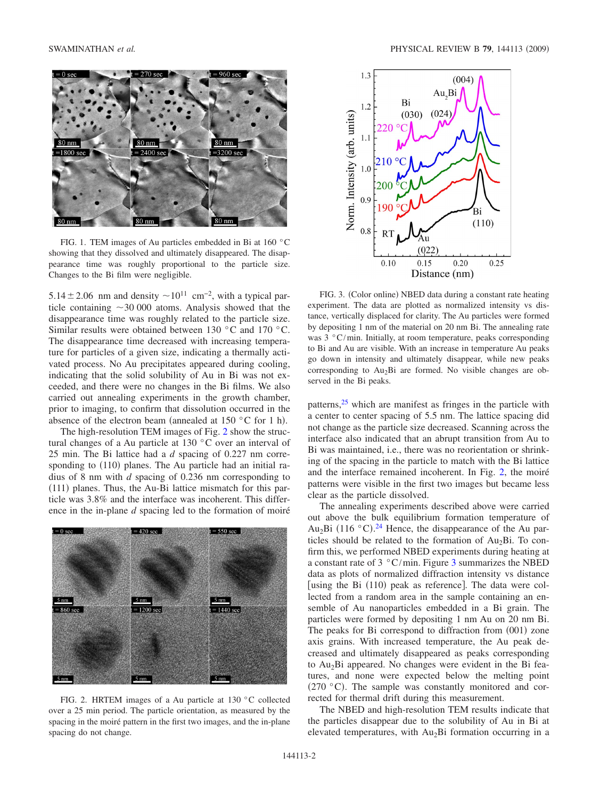<span id="page-1-0"></span>

FIG. 1. TEM images of Au particles embedded in Bi at 160 °C showing that they dissolved and ultimately disappeared. The disappearance time was roughly proportional to the particle size. Changes to the Bi film were negligible.

5.14 $\pm$ 2.06 nm and density  $\sim$ 10<sup>11</sup> cm<sup>-2</sup>, with a typical particle containing  $\sim$  30 000 atoms. Analysis showed that the disappearance time was roughly related to the particle size. Similar results were obtained between 130 °C and 170 °C. The disappearance time decreased with increasing temperature for particles of a given size, indicating a thermally activated process. No Au precipitates appeared during cooling, indicating that the solid solubility of Au in Bi was not exceeded, and there were no changes in the Bi films. We also carried out annealing experiments in the growth chamber, prior to imaging, to confirm that dissolution occurred in the absence of the electron beam (annealed at 150  $\degree$ C for 1 h).

The high-resolution TEM images of Fig. [2](#page-1-1) show the structural changes of a Au particle at 130 °C over an interval of 25 min. The Bi lattice had a *d* spacing of 0.227 nm corresponding to (110) planes. The Au particle had an initial radius of 8 nm with *d* spacing of 0.236 nm corresponding to (111) planes. Thus, the Au-Bi lattice mismatch for this particle was 3.8% and the interface was incoherent. This difference in the in-plane *d* spacing led to the formation of moiré

<span id="page-1-1"></span>

FIG. 2. HRTEM images of a Au particle at 130 °C collected over a 25 min period. The particle orientation, as measured by the spacing in the moiré pattern in the first two images, and the in-plane spacing do not change.

<span id="page-1-2"></span>

FIG. 3. (Color online) NBED data during a constant rate heating experiment. The data are plotted as normalized intensity vs distance, vertically displaced for clarity. The Au particles were formed by depositing 1 nm of the material on 20 nm Bi. The annealing rate was 3 °C/min. Initially, at room temperature, peaks corresponding to Bi and Au are visible. With an increase in temperature Au peaks go down in intensity and ultimately disappear, while new peaks corresponding to  $Au<sub>2</sub>Bi$  are formed. No visible changes are observed in the Bi peaks.

patterns, $2<sup>5</sup>$  which are manifest as fringes in the particle with a center to center spacing of 5.5 nm. The lattice spacing did not change as the particle size decreased. Scanning across the interface also indicated that an abrupt transition from Au to Bi was maintained, i.e., there was no reorientation or shrinking of the spacing in the particle to match with the Bi lattice and the interface remained incoherent. In Fig. [2,](#page-1-1) the moiré patterns were visible in the first two images but became less clear as the particle dissolved.

The annealing experiments described above were carried out above the bulk equilibrium formation temperature of  $Au_2Bi$  (116 °C).<sup>[24](#page-3-21)</sup> Hence, the disappearance of the Au particles should be related to the formation of  $Au<sub>2</sub>Bi$ . To confirm this, we performed NBED experiments during heating at a constant rate of  $3 \degree C / \text{min}$  $3 \degree C / \text{min}$ . Figure 3 summarizes the NBED data as plots of normalized diffraction intensity vs distance [using the Bi (110) peak as reference]. The data were collected from a random area in the sample containing an ensemble of Au nanoparticles embedded in a Bi grain. The particles were formed by depositing 1 nm Au on 20 nm Bi. The peaks for Bi correspond to diffraction from (001) zone axis grains. With increased temperature, the Au peak decreased and ultimately disappeared as peaks corresponding to Au2Bi appeared. No changes were evident in the Bi features, and none were expected below the melting point  $(270 °C)$ . The sample was constantly monitored and corrected for thermal drift during this measurement.

The NBED and high-resolution TEM results indicate that the particles disappear due to the solubility of Au in Bi at elevated temperatures, with Au2Bi formation occurring in a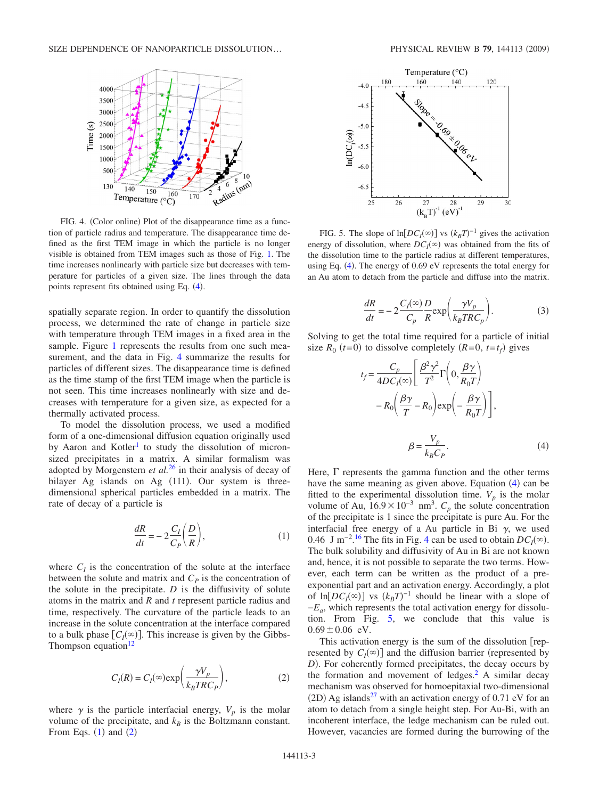<span id="page-2-0"></span>

FIG. 4. (Color online) Plot of the disappearance time as a function of particle radius and temperature. The disappearance time defined as the first TEM image in which the particle is no longer visible is obtained from TEM images such as those of Fig. [1.](#page-1-0) The time increases nonlinearly with particle size but decreases with temperature for particles of a given size. The lines through the data points represent fits obtained using Eq. ([4](#page-2-3)).

spatially separate region. In order to quantify the dissolution process, we determined the rate of change in particle size with temperature through TEM images in a fixed area in the sample. Figure [1](#page-1-0) represents the results from one such measurement, and the data in Fig. [4](#page-2-0) summarize the results for particles of different sizes. The disappearance time is defined as the time stamp of the first TEM image when the particle is not seen. This time increases nonlinearly with size and decreases with temperature for a given size, as expected for a thermally activated process.

To model the dissolution process, we used a modified form of a one-dimensional diffusion equation originally used by Aaron and Kotler<sup>1</sup> to study the dissolution of micronsized precipitates in a matrix. A similar formalism was adopted by Morgenstern *et al.*[26](#page-3-23) in their analysis of decay of bilayer Ag islands on Ag (111). Our system is threedimensional spherical particles embedded in a matrix. The rate of decay of a particle is

$$
\frac{dR}{dt} = -2\frac{C_I}{C_P} \left(\frac{D}{R}\right),\tag{1}
$$

<span id="page-2-1"></span>where  $C_I$  is the concentration of the solute at the interface between the solute and matrix and  $C_p$  is the concentration of the solute in the precipitate.  $D$  is the diffusivity of solute atoms in the matrix and *R* and *t* represent particle radius and time, respectively. The curvature of the particle leads to an increase in the solute concentration at the interface compared to a bulk phase  $[C_I(\infty)]$ . This increase is given by the Gibbs-Thompson equation $12$ 

$$
C_I(R) = C_I(\infty) \exp\left(\frac{\gamma V_p}{k_B T R C_P}\right),\tag{2}
$$

<span id="page-2-2"></span>where  $\gamma$  is the particle interfacial energy,  $V_p$  is the molar volume of the precipitate, and  $k_B$  is the Boltzmann constant. From Eqs.  $(1)$  $(1)$  $(1)$  and  $(2)$  $(2)$  $(2)$ 

<span id="page-2-4"></span>

FIG. 5. The slope of  $\ln[DC_I(\infty)]$  vs  $(k_B T)^{-1}$  gives the activation energy of dissolution, where  $DC<sub>I</sub>(\infty)$  was obtained from the fits of the dissolution time to the particle radius at different temperatures, using Eq.  $(4)$  $(4)$  $(4)$ . The energy of 0.69 eV represents the total energy for an Au atom to detach from the particle and diffuse into the matrix.

$$
\frac{dR}{dt} = -2\frac{C_I(\infty)}{C_p} \frac{D}{R} \exp\left(\frac{\gamma V_p}{k_B T R C_p}\right).
$$
 (3)

<span id="page-2-3"></span>Solving to get the total time required for a particle of initial size  $R_0$  ( $t=0$ ) to dissolve completely  $(R=0, t=t_f)$  gives

$$
t_f = \frac{C_p}{4DC_I(\infty)} \left[ \frac{\beta^2 \gamma^2}{T^2} \Gamma \left( 0, \frac{\beta \gamma}{R_0 T} \right) - R_0 \left( \frac{\beta \gamma}{T} - R_0 \right) \exp \left( -\frac{\beta \gamma}{R_0 T} \right) \right],
$$

$$
\beta = \frac{V_p}{k_B C_P}.
$$
(4)

Here,  $\Gamma$  represents the gamma function and the other terms have the same meaning as given above. Equation ([4](#page-2-3)) can be fitted to the experimental dissolution time.  $V_p$  is the molar volume of Au,  $16.9 \times 10^{-3}$  nm<sup>3</sup>.  $C_p$  the solute concentration of the precipitate is 1 since the precipitate is pure Au. For the interfacial free energy of a Au particle in Bi  $\gamma$ , we used 0.46 J m<sup>-2</sup>.<sup>[16](#page-3-14)</sup> The fits in Fig. [4](#page-2-0) can be used to obtain  $DC_I(\infty)$ . The bulk solubility and diffusivity of Au in Bi are not known and, hence, it is not possible to separate the two terms. However, each term can be written as the product of a preexponential part and an activation energy. Accordingly, a plot of  $\ln[DC_I(\infty)]$  vs  $(k_B T)^{-1}$  should be linear with a slope of −*Ea*, which represents the total activation energy for dissolution. From Fig. [5,](#page-2-4) we conclude that this value is  $0.69 \pm 0.06$  eV.

This activation energy is the sum of the dissolution  $\lceil$  represented by  $C_I(\infty)$  and the diffusion barrier (represented by D). For coherently formed precipitates, the decay occurs by the formation and movement of ledges. $<sup>2</sup>$  A similar decay</sup> mechanism was observed for homoepitaxial two-dimensional (2D) Ag islands<sup>27</sup> with an activation energy of 0.71 eV for an atom to detach from a single height step. For Au-Bi, with an incoherent interface, the ledge mechanism can be ruled out. However, vacancies are formed during the burrowing of the